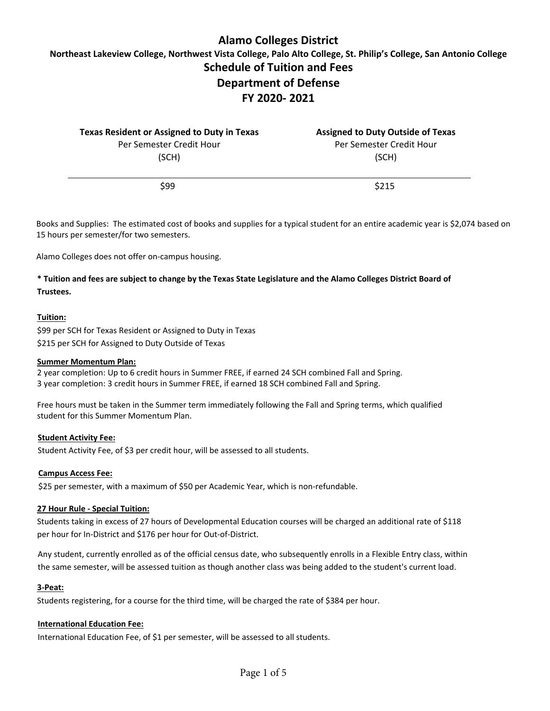# **Alamo Colleges District**

**Northeast Lakeview College, Northwest Vista College, Palo Alto College, St. Philip's College, San Antonio College Schedule of Tuition and Fees Department of Defense** 

# **FY 2020- 2021**

| <b>Texas Resident or Assigned to Duty in Texas</b> | <b>Assigned to Duty Outside of Texas</b> |
|----------------------------------------------------|------------------------------------------|
| Per Semester Credit Hour                           | Per Semester Credit Hour                 |
| (SCH)                                              | (SCH)                                    |
| \$99                                               | <b>S215</b>                              |

Books and Supplies: The estimated cost of books and supplies for a typical student for an entire academic year is \$2,074 based on 15 hours per semester/for two semesters.

Alamo Colleges does not offer on-campus housing.

## **\* Tuition and fees are subject to change by the Texas State Legislature and the Alamo Colleges District Board of Trustees.**

#### **Tuition:**

\$99 per SCH for Texas Resident or Assigned to Duty in Texas \$215 per SCH for Assigned to Duty Outside of Texas

#### **Summer Momentum Plan:**

2 year completion: Up to 6 credit hours in Summer FREE, if earned 24 SCH combined Fall and Spring. 3 year completion: 3 credit hours in Summer FREE, if earned 18 SCH combined Fall and Spring.

Free hours must be taken in the Summer term immediately following the Fall and Spring terms, which qualified student for this Summer Momentum Plan.

#### **Student Activity Fee:**

Student Activity Fee, of \$3 per credit hour, will be assessed to all students.

#### **Campus Access Fee:**

\$25 per semester, with a maximum of \$50 per Academic Year, which is non-refundable.

#### **27 Hour Rule - Special Tuition:**

Students taking in excess of 27 hours of Developmental Education courses will be charged an additional rate of \$118 per hour for In-District and \$176 per hour for Out-of-District.

Any student, currently enrolled as of the official census date, who subsequently enrolls in a Flexible Entry class, within the same semester, will be assessed tuition as though another class was being added to the student's current load.

#### **3-Peat:**

Students registering, for a course for the third time, will be charged the rate of \$384 per hour.

#### **International Education Fee:**

International Education Fee, of \$1 per semester, will be assessed to all students.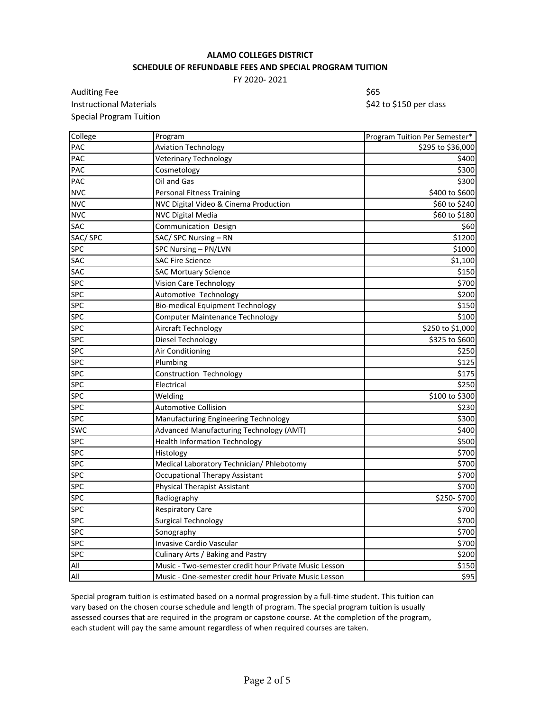## **ALAMO COLLEGES DISTRICT SCHEDULE OF REFUNDABLE FEES AND SPECIAL PROGRAM TUITION**

FY 2020- 2021

Auditing Fee \$65 Instructional Materials **Materials 1988 1988 1988 1998 1998 1998 1999 1999 1999 1999 1999 1999 1999 1999 1999 1999 1999 1999 1999 1999 1999 1999 1999 1999 1999 1999 199** Special Program Tuition

| College        | Program                                               | Program Tuition Per Semester* |
|----------------|-------------------------------------------------------|-------------------------------|
| <b>PAC</b>     | <b>Aviation Technology</b>                            | \$295 to \$36,000             |
| PAC            | Veterinary Technology                                 | \$400                         |
| <b>PAC</b>     | Cosmetology                                           | \$300                         |
| <b>PAC</b>     | Oil and Gas                                           | \$300                         |
| <b>NVC</b>     | <b>Personal Fitness Training</b>                      | \$400 to \$600                |
| <b>NVC</b>     | NVC Digital Video & Cinema Production                 | \$60 to \$240                 |
| <b>NVC</b>     | <b>NVC Digital Media</b>                              | \$60 to \$180                 |
| <b>SAC</b>     | Communication Design                                  | \$60                          |
| SAC/SPC        | SAC/ SPC Nursing - RN                                 | \$1200                        |
| <b>SPC</b>     | SPC Nursing - PN/LVN                                  | \$1000                        |
| <b>SAC</b>     | <b>SAC Fire Science</b>                               | \$1,100                       |
| <b>SAC</b>     | <b>SAC Mortuary Science</b>                           | \$150                         |
| <b>SPC</b>     | Vision Care Technology                                | \$700                         |
| <b>SPC</b>     | Automotive Technology                                 | \$200                         |
| <b>SPC</b>     | <b>Bio-medical Equipment Technology</b>               | \$150                         |
| <b>SPC</b>     | <b>Computer Maintenance Technology</b>                | \$100                         |
| <b>SPC</b>     | Aircraft Technology                                   | \$250 to \$1,000              |
| <b>SPC</b>     | Diesel Technology                                     | \$325 to \$600                |
| <b>SPC</b>     | Air Conditioning                                      | \$250                         |
| <b>SPC</b>     | Plumbing                                              | \$125                         |
| <b>SPC</b>     | Construction Technology                               | \$175                         |
| <b>SPC</b>     | Electrical                                            | \$250                         |
| <b>SPC</b>     | Welding                                               | \$100 to \$300                |
| <b>SPC</b>     | <b>Automotive Collision</b>                           | \$230                         |
| <b>SPC</b>     | Manufacturing Engineering Technology                  | \$300                         |
| <b>SWC</b>     | Advanced Manufacturing Technology (AMT)               | \$400                         |
| <b>SPC</b>     | <b>Health Information Technology</b>                  | \$500                         |
| <b>SPC</b>     | Histology                                             | \$700                         |
| <b>SPC</b>     | Medical Laboratory Technician/ Phlebotomy             | \$700                         |
| <b>SPC</b>     | <b>Occupational Therapy Assistant</b>                 | \$700                         |
| <b>SPC</b>     | <b>Physical Therapist Assistant</b>                   | \$700                         |
| <b>SPC</b>     | Radiography                                           | \$250-\$700                   |
| <b>SPC</b>     | Respiratory Care                                      | \$700                         |
| <b>SPC</b>     | <b>Surgical Technology</b>                            | \$700                         |
| <b>SPC</b>     | Sonography                                            | \$700                         |
| <b>SPC</b>     | Invasive Cardio Vascular                              | \$700                         |
| <b>SPC</b>     | Culinary Arts / Baking and Pastry                     | \$200                         |
| $\mathsf{All}$ | Music - Two-semester credit hour Private Music Lesson | \$150                         |
| All            | Music - One-semester credit hour Private Music Lesson | 595                           |

Special program tuition is estimated based on a normal progression by a full-time student. This tuition can vary based on the chosen course schedule and length of program. The special program tuition is usually assessed courses that are required in the program or capstone course. At the completion of the program, each student will pay the same amount regardless of when required courses are taken.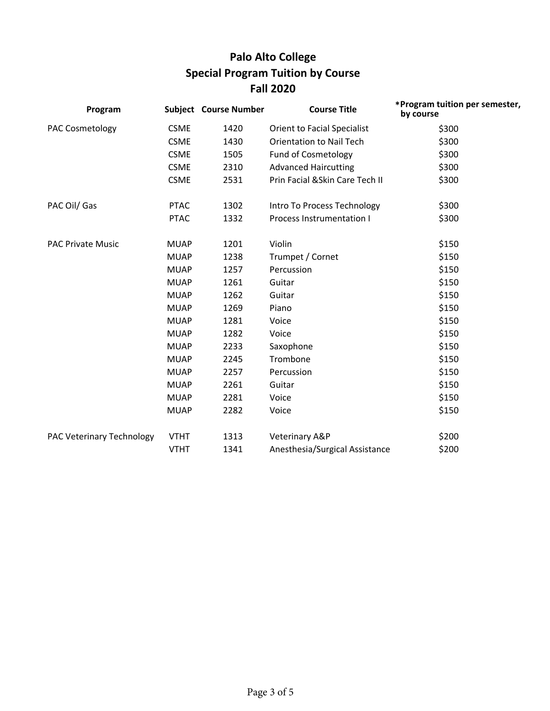# **Palo Alto College Special Program Tuition by Course Fall 2020**

| Program                   |             | <b>Subject Course Number</b> | <b>Course Title</b>              | *Program tuition per semester,<br>by course |
|---------------------------|-------------|------------------------------|----------------------------------|---------------------------------------------|
| <b>PAC Cosmetology</b>    | <b>CSME</b> | 1420                         | Orient to Facial Specialist      | \$300                                       |
|                           | <b>CSME</b> | 1430                         | <b>Orientation to Nail Tech</b>  | \$300                                       |
|                           | <b>CSME</b> | 1505                         | <b>Fund of Cosmetology</b>       | \$300                                       |
|                           | <b>CSME</b> | 2310                         | <b>Advanced Haircutting</b>      | \$300                                       |
|                           | <b>CSME</b> | 2531                         | Prin Facial & Skin Care Tech II  | \$300                                       |
| PAC Oil/ Gas              | <b>PTAC</b> | 1302                         | Intro To Process Technology      | \$300                                       |
|                           | <b>PTAC</b> | 1332                         | <b>Process Instrumentation I</b> | \$300                                       |
| <b>PAC Private Music</b>  | <b>MUAP</b> | 1201                         | Violin                           | \$150                                       |
|                           | <b>MUAP</b> | 1238                         | Trumpet / Cornet                 | \$150                                       |
|                           | <b>MUAP</b> | 1257                         | Percussion                       | \$150                                       |
|                           | <b>MUAP</b> | 1261                         | Guitar                           | \$150                                       |
|                           | <b>MUAP</b> | 1262                         | Guitar                           | \$150                                       |
|                           | <b>MUAP</b> | 1269                         | Piano                            | \$150                                       |
|                           | <b>MUAP</b> | 1281                         | Voice                            | \$150                                       |
|                           | <b>MUAP</b> | 1282                         | Voice                            | \$150                                       |
|                           | <b>MUAP</b> | 2233                         | Saxophone                        | \$150                                       |
|                           | <b>MUAP</b> | 2245                         | Trombone                         | \$150                                       |
|                           | <b>MUAP</b> | 2257                         | Percussion                       | \$150                                       |
|                           | <b>MUAP</b> | 2261                         | Guitar                           | \$150                                       |
|                           | <b>MUAP</b> | 2281                         | Voice                            | \$150                                       |
|                           | <b>MUAP</b> | 2282                         | Voice                            | \$150                                       |
| PAC Veterinary Technology | <b>VTHT</b> | 1313                         | Veterinary A&P                   | \$200                                       |
|                           | <b>VTHT</b> | 1341                         | Anesthesia/Surgical Assistance   | \$200                                       |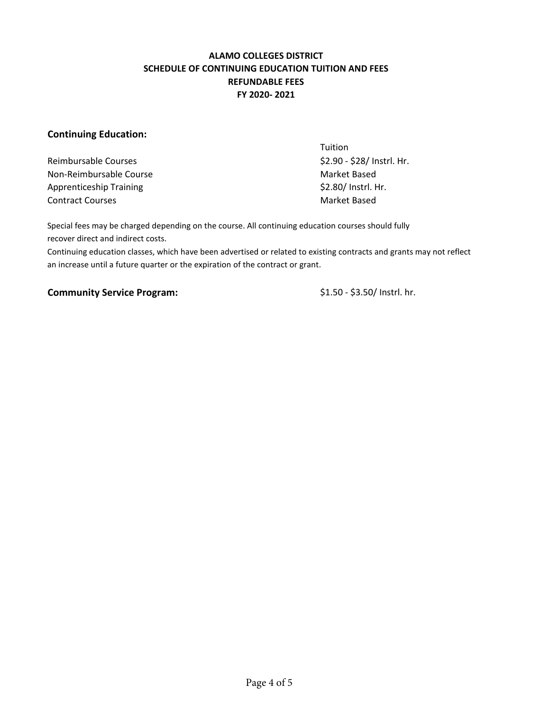## **ALAMO COLLEGES DISTRICT SCHEDULE OF CONTINUING EDUCATION TUITION AND FEES REFUNDABLE FEES FY 2020- 2021**

## **Continuing Education:**

Reimbursable Courses  $\frac{1}{2}$  Courses  $\frac{1}{2}$  Reimbursable Courses  $\frac{1}{2}$  Courses  $\frac{1}{2}$  Courses  $\frac{1}{2}$  Courses  $\frac{1}{2}$  Courses  $\frac{1}{2}$  Courses  $\frac{1}{2}$  Courses  $\frac{1}{2}$  Courses  $\frac{1}{2}$  Courses  $\frac{1}{2}$ Non-Reimbursable Course Market Based Apprenticeship Training **Example 2018** S2.80/ Instrl. Hr. Contract Courses and Contract Courses and Contract Based

**Tuition** 

Special fees may be charged depending on the course. All continuing education courses should fully recover direct and indirect costs.

Continuing education classes, which have been advertised or related to existing contracts and grants may not reflect an increase until a future quarter or the expiration of the contract or grant.

### **Community Service Program:**  $$1.50 - $3.50/$  Instrl. hr.